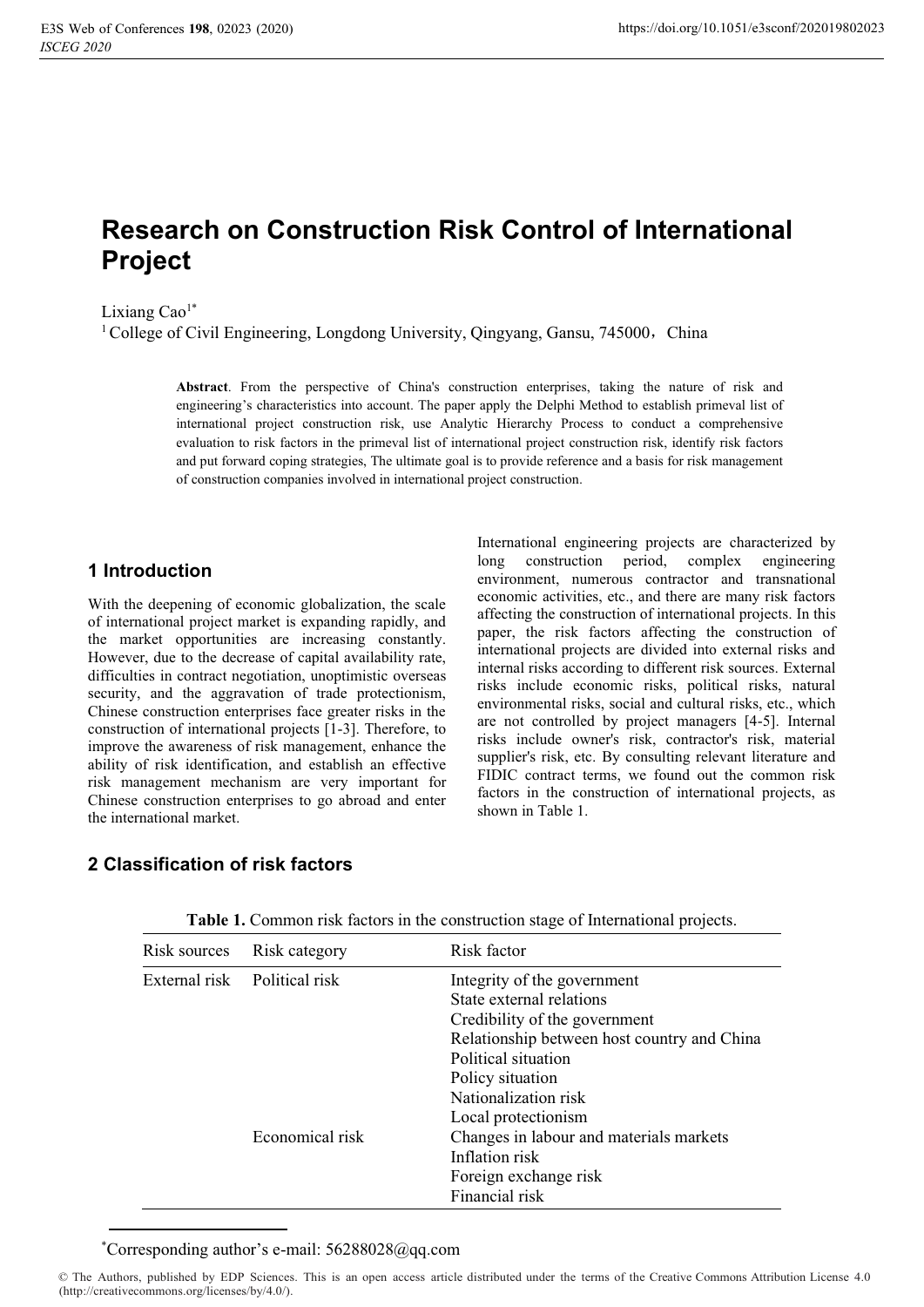# **Research on Construction Risk Control of International Project**

Lixiang  $Cao<sup>1*</sup>$ 

<sup>1</sup> College of Civil Engineering, Longdong University, Qingyang, Gansu, 745000, China

**Abstract**. From the perspective of China's construction enterprises, taking the nature of risk and engineering's characteristics into account. The paper apply the Delphi Method to establish primeval list of international project construction risk, use Analytic Hierarchy Process to conduct a comprehensive evaluation to risk factors in the primeval list of international project construction risk, identify risk factors and put forward coping strategies, The ultimate goal is to provide reference and a basis for risk management of construction companies involved in international project construction.

## **1 Introduction**

With the deepening of economic globalization, the scale of international project market is expanding rapidly, and the market opportunities are increasing constantly. However, due to the decrease of capital availability rate, difficulties in contract negotiation, unoptimistic overseas security, and the aggravation of trade protectionism, Chinese construction enterprises face greater risks in the construction of international projects [1-3]. Therefore, to improve the awareness of risk management, enhance the ability of risk identification, and establish an effective risk management mechanism are very important for Chinese construction enterprises to go abroad and enter the international market.

International engineering projects are characterized by long construction period, complex engineering environment, numerous contractor and transnational economic activities, etc., and there are many risk factors affecting the construction of international projects. In this paper, the risk factors affecting the construction of international projects are divided into external risks and internal risks according to different risk sources. External risks include economic risks, political risks, natural environmental risks, social and cultural risks, etc., which are not controlled by project managers [4-5]. Internal risks include owner's risk, contractor's risk, material supplier's risk, etc. By consulting relevant literature and FIDIC contract terms, we found out the common risk factors in the construction of international projects, as shown in Table 1.

## **2 Classification of risk factors**

| Risk sources | Risk category                | Risk factor                                 |
|--------------|------------------------------|---------------------------------------------|
|              | External risk Political risk | Integrity of the government                 |
|              |                              | State external relations                    |
|              |                              | Credibility of the government               |
|              |                              | Relationship between host country and China |
|              |                              | Political situation                         |
|              |                              | Policy situation                            |
|              |                              | Nationalization risk                        |
|              |                              | Local protectionism                         |
|              | Economical risk              | Changes in labour and materials markets     |
|              |                              | Inflation risk                              |
|              |                              | Foreign exchange risk                       |
|              |                              | Financial risk                              |

**Table 1.** Common risk factors in the construction stage of International projects.

\* Corresponding author's e-mail: 56288028@qq.com

<sup>©</sup> The Authors, published by EDP Sciences. This is an open access article distributed under the terms of the Creative Commons Attribution License 4.0 (http://creativecommons.org/licenses/by/4.0/).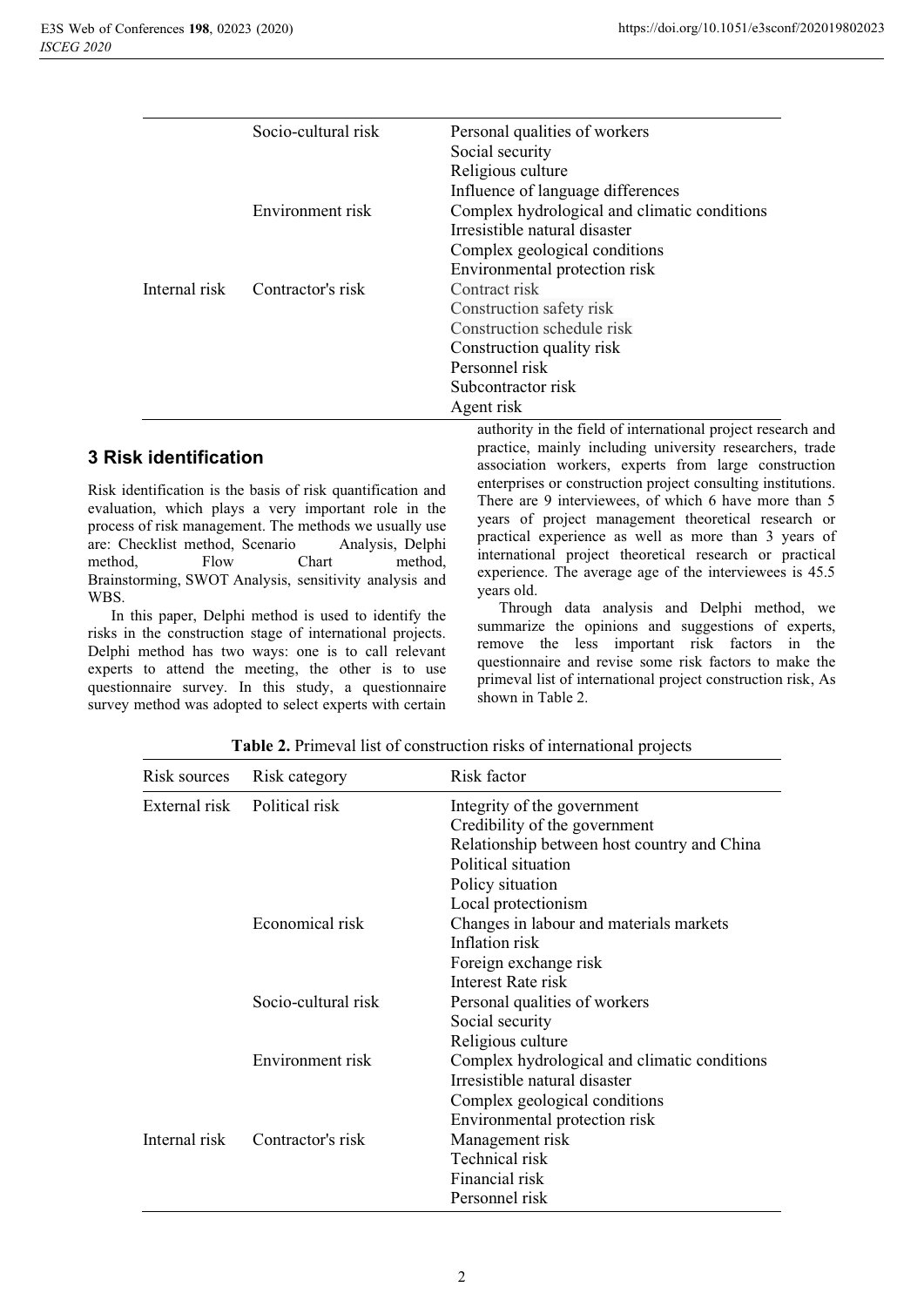| Socio-cultural risk | Personal qualities of workers                |
|---------------------|----------------------------------------------|
|                     | Social security                              |
|                     | Religious culture                            |
|                     | Influence of language differences            |
| Environment risk    | Complex hydrological and climatic conditions |
|                     | Irresistible natural disaster                |
|                     | Complex geological conditions                |
|                     | Environmental protection risk                |
| Contractor's risk   | Contract risk                                |
|                     | Construction safety risk                     |
|                     | Construction schedule risk                   |
|                     | Construction quality risk                    |
|                     | Personnel risk                               |
|                     | Subcontractor risk                           |
|                     | Agent risk                                   |
|                     |                                              |

## **3 Risk identification**

Risk identification is the basis of risk quantification and evaluation, which plays a very important role in the process of risk management. The methods we usually use are: Checklist method, Scenario Analysis, Delphi method, Flow Chart method, Brainstorming, SWOT Analysis, sensitivity analysis and WBS.

In this paper, Delphi method is used to identify the risks in the construction stage of international projects. Delphi method has two ways: one is to call relevant experts to attend the meeting, the other is to use questionnaire survey. In this study, a questionnaire survey method was adopted to select experts with certain

authority in the field of international project research and practice, mainly including university researchers, trade association workers, experts from large construction enterprises or construction project consulting institutions. There are 9 interviewees, of which 6 have more than 5 years of project management theoretical research or practical experience as well as more than 3 years of international project theoretical research or practical experience. The average age of the interviewees is 45.5 years old.

Through data analysis and Delphi method, we summarize the opinions and suggestions of experts, remove the less important risk factors in the questionnaire and revise some risk factors to make the primeval list of international project construction risk, As shown in Table 2.

| Risk sources  | Risk category       | Risk factor                                                                   |
|---------------|---------------------|-------------------------------------------------------------------------------|
| External risk | Political risk      | Integrity of the government                                                   |
|               |                     | Credibility of the government                                                 |
|               |                     | Relationship between host country and China                                   |
|               |                     | Political situation                                                           |
|               |                     | Policy situation                                                              |
|               |                     | Local protectionism                                                           |
|               | Economical risk     | Changes in labour and materials markets                                       |
|               |                     | Inflation risk                                                                |
|               |                     | Foreign exchange risk                                                         |
|               |                     | Interest Rate risk                                                            |
|               | Socio-cultural risk | Personal qualities of workers                                                 |
|               |                     | Social security                                                               |
|               |                     | Religious culture                                                             |
|               | Environment risk    | Complex hydrological and climatic conditions<br>Irresistible natural disaster |
|               |                     | Complex geological conditions                                                 |
|               |                     | Environmental protection risk                                                 |
| Internal risk | Contractor's risk   | Management risk                                                               |
|               |                     | Technical risk                                                                |
|               |                     | Financial risk                                                                |
|               |                     | Personnel risk                                                                |

**Table 2.** Primeval list of construction risks of international projects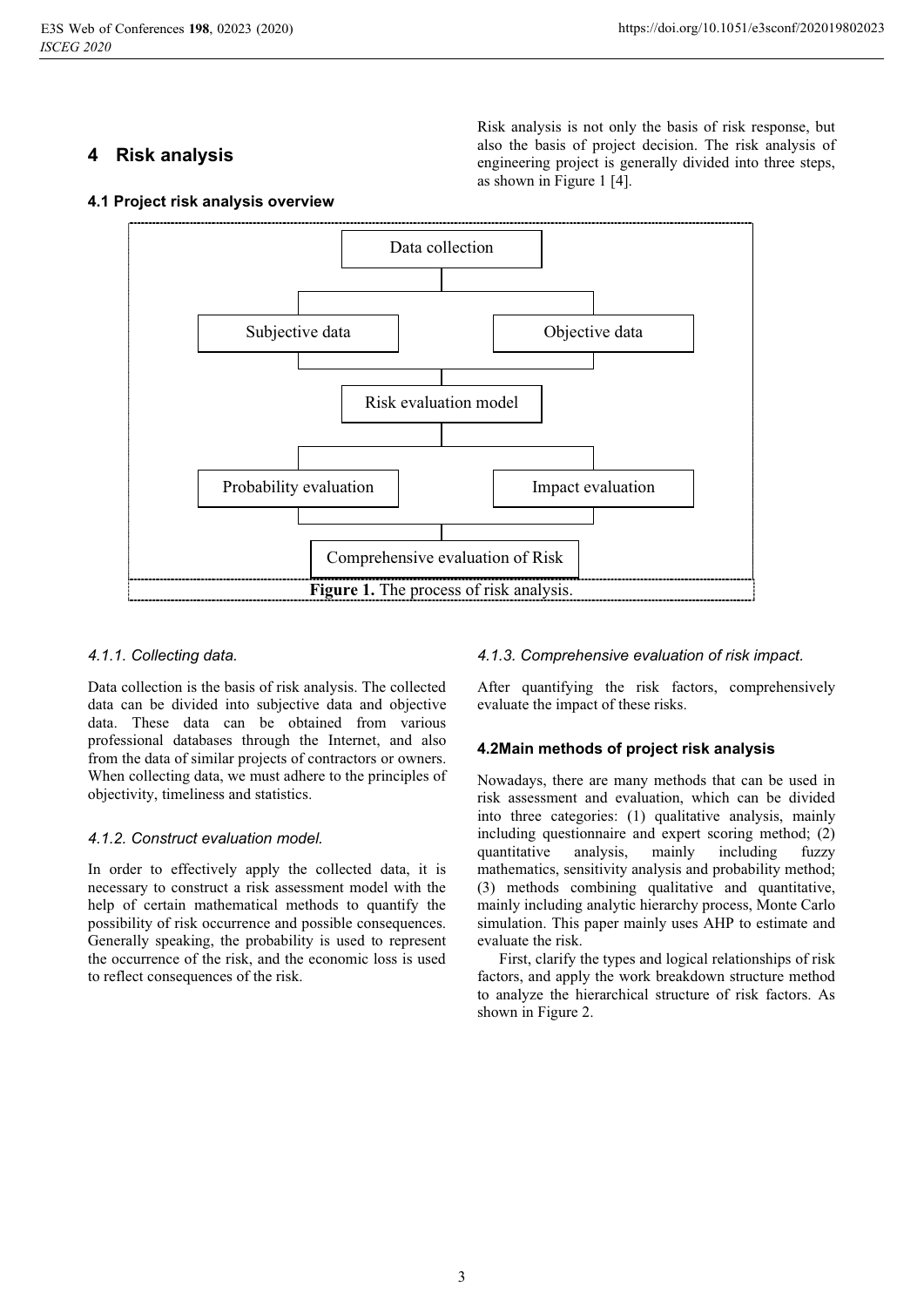# **4 Risk analysis**

Risk analysis is not only the basis of risk response, but also the basis of project decision. The risk analysis of engineering project is generally divided into three steps, as shown in Figure 1 [4].





### *4.1.1. Collecting data.*

Data collection is the basis of risk analysis. The collected data can be divided into subjective data and objective data. These data can be obtained from various professional databases through the Internet, and also from the data of similar projects of contractors or owners. When collecting data, we must adhere to the principles of objectivity, timeliness and statistics.

### *4.1.2. Construct evaluation model.*

In order to effectively apply the collected data, it is necessary to construct a risk assessment model with the help of certain mathematical methods to quantify the possibility of risk occurrence and possible consequences. Generally speaking, the probability is used to represent the occurrence of the risk, and the economic loss is used to reflect consequences of the risk.

*4.1.3. Comprehensive evaluation of risk impact.*

After quantifying the risk factors, comprehensively evaluate the impact of these risks.

## **4.2Main methods of project risk analysis**

Nowadays, there are many methods that can be used in risk assessment and evaluation, which can be divided into three categories: (1) qualitative analysis, mainly including questionnaire and expert scoring method; (2) quantitative analysis, mainly including fuzzy mathematics, sensitivity analysis and probability method; (3) methods combining qualitative and quantitative, mainly including analytic hierarchy process, Monte Carlo simulation. This paper mainly uses AHP to estimate and evaluate the risk.

First, clarify the types and logical relationships of risk factors, and apply the work breakdown structure method to analyze the hierarchical structure of risk factors. As shown in Figure 2.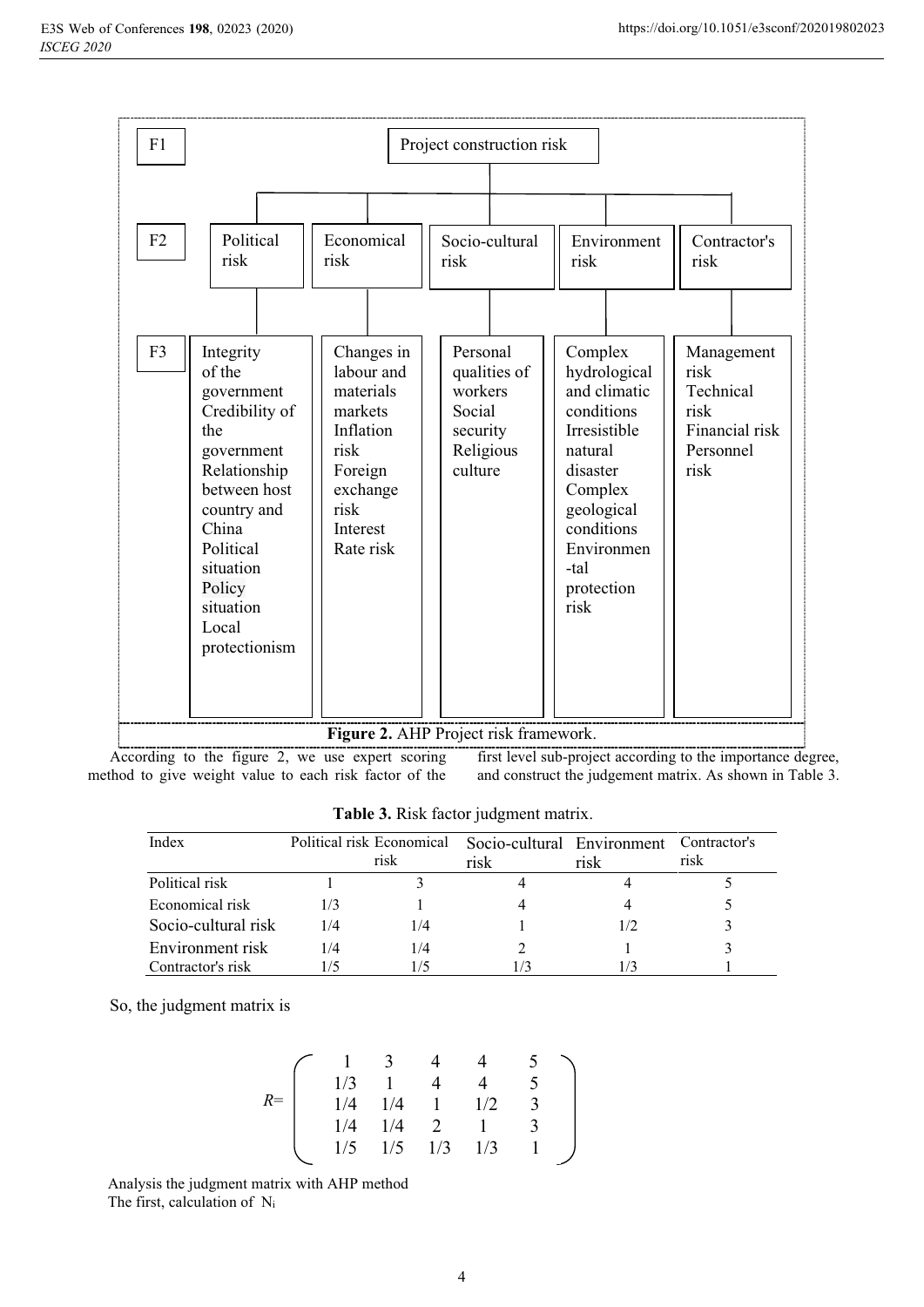

According to the figure 2, we use expert scoring method to give weight value to each risk factor of the first level sub-project according to the importance degree, and construct the judgement matrix. As shown in Table 3.

| Index               | Political risk Economical | risk | Socio-cultural Environment<br>risk | risk | Contractor's<br>risk |
|---------------------|---------------------------|------|------------------------------------|------|----------------------|
| Political risk      |                           |      |                                    |      |                      |
| Economical risk     |                           |      |                                    |      |                      |
| Socio-cultural risk | 1/4                       | 1/4  |                                    |      |                      |
| Environment risk    | 1/4                       | 1/4  |                                    |      |                      |
| Contractor's risk   |                           | 1/5  |                                    |      |                      |

**Table 3.** Risk factor judgment matrix.

So, the judgment matrix is

|      |     | $\overline{\mathbf{3}}$ |              |     |   |  |
|------|-----|-------------------------|--------------|-----|---|--|
|      | 1/3 |                         |              |     |   |  |
| $R=$ | 1/4 | 1/4                     | $\mathbf{1}$ | 1/2 | 3 |  |
|      | 1/4 | 1/4                     | - 2          |     |   |  |
|      | 1/5 | 1/5                     | 1/3          | 1/3 |   |  |

Analysis the judgment matrix with AHP method The first, calculation of Ni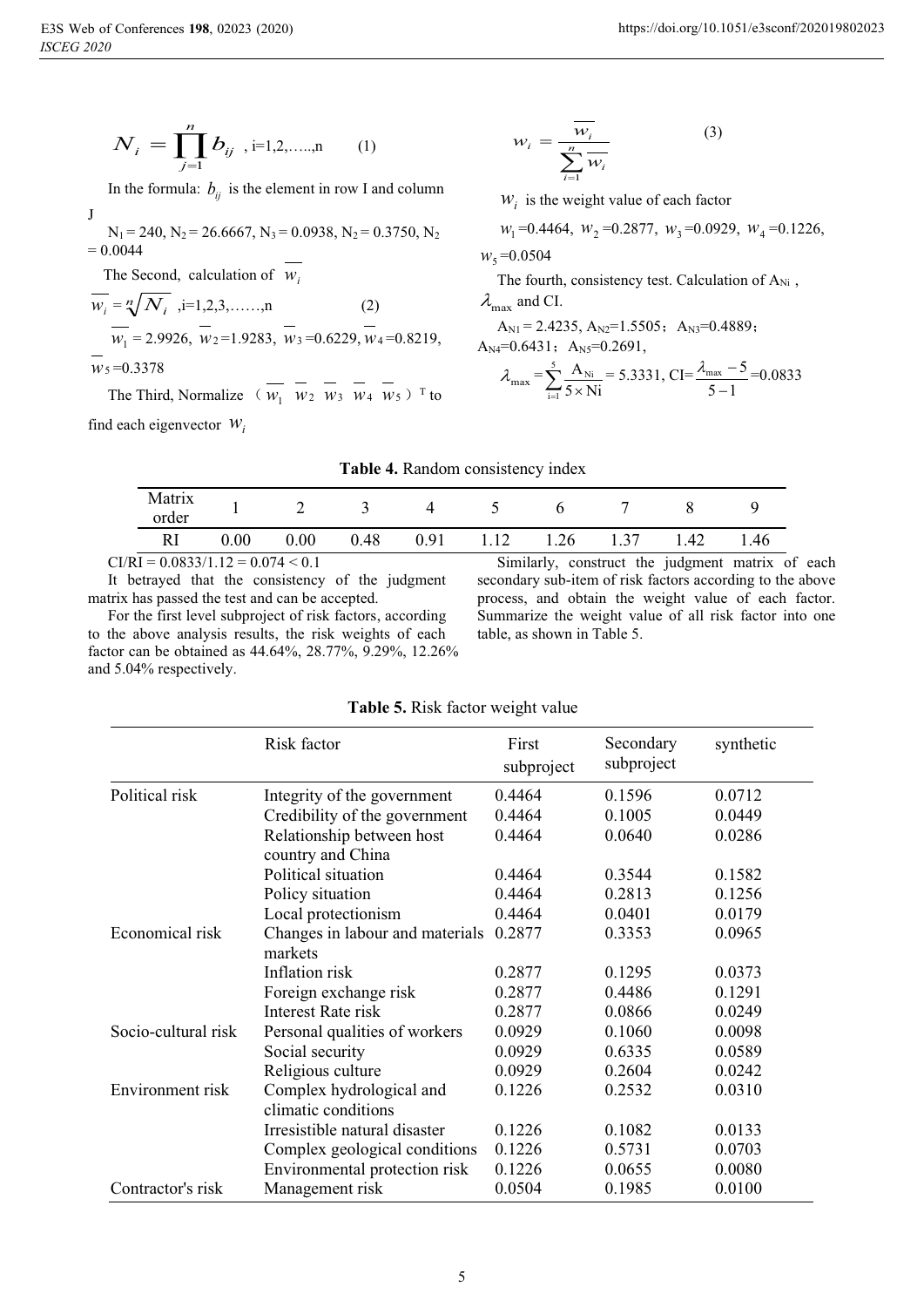J

$$
N_i = \prod_{j=1}^{n} b_{ij} , i=1,2,...,n
$$
 (1)

In the formula:  $b_{ij}$  is the element in row I and column

 $N_1 = 240$ ,  $N_2 = 26.6667$ ,  $N_3 = 0.0938$ ,  $N_2 = 0.3750$ ,  $N_2$  $= 0.0044$ 

The Second, calculation of  $w_i$ 

$$
\overline{w_i} = \sqrt[n]{N_i}, i=1,2,3,...,n
$$
\n
$$
\overline{w_1} = 2.9926, \quad \overline{w_2} = 1.9283, \quad \overline{w_3} = 0.6229, \quad \overline{w_4} = 0.8219,
$$
\n
$$
\overline{w_5} = 0.3378
$$
\n(2)

The Third, Normalize  $(w_1 \ w_2 \ w_3 \ w_4 \ w_5)$ <sup>T</sup> to find each eigenvector  $W_i$ 

$$
w_i = \frac{\overline{w_i}}{\sum_{i=1}^{n} \overline{w_i}}
$$
 (3)

 $W_i$  is the weight value of each factor

$$
w_1 = 0.4464
$$
,  $w_2 = 0.2877$ ,  $w_3 = 0.0929$ ,  $w_4 = 0.1226$ ,

 $W_5 = 0.0504$ 

The fourth, consistency test. Calculation of A<sub>Ni</sub>,

 $\lambda_{\text{max}}$  and CI.

 $A_{N1} = 2.4235, A_{N2} = 1.5505; A_{N3} = 0.4889;$ 

$$
A_{N4}=0.6431
$$
;  $A_{N5}=0.2691$ ,

$$
\lambda_{\max} = \sum_{i=1}^{5} \frac{A_{Ni}}{5 \times Ni} = 5.3331, \, CI = \frac{\lambda_{\max} - 5}{5 - 1} = 0.0833
$$

#### **Table 4.** Random consistency index

| Matrix<br>order                                                                                                                                                                                                                                                                                                                    |      |      |      |      |                                    | h         |                                                                                                                 |      |      |
|------------------------------------------------------------------------------------------------------------------------------------------------------------------------------------------------------------------------------------------------------------------------------------------------------------------------------------|------|------|------|------|------------------------------------|-----------|-----------------------------------------------------------------------------------------------------------------|------|------|
|                                                                                                                                                                                                                                                                                                                                    | 0.00 | 0.00 | 0.48 | 0.91 | 1.12                               | 1.26 1.37 |                                                                                                                 | 1.42 | 1.46 |
| $\mathbf{A}$ $\mathbf{A}$ $\mathbf{A}$ $\mathbf{A}$ $\mathbf{A}$ $\mathbf{A}$ $\mathbf{A}$ $\mathbf{A}$ $\mathbf{A}$ $\mathbf{A}$ $\mathbf{A}$ $\mathbf{A}$ $\mathbf{A}$ $\mathbf{A}$ $\mathbf{A}$ $\mathbf{A}$ $\mathbf{A}$ $\mathbf{A}$ $\mathbf{A}$ $\mathbf{A}$ $\mathbf{A}$ $\mathbf{A}$ $\mathbf{A}$ $\mathbf{A}$ $\mathbf{$ |      |      |      |      | $\sim$ $\sim$ $\sim$ $\sim$ $\sim$ |           | the contract of the contract of the contract of the contract of the contract of the contract of the contract of |      |      |

 $CI/RI = 0.0833/1.12 = 0.074 < 0.1$ 

It betrayed that the consistency of the judgment matrix has passed the test and can be accepted.

For the first level subproject of risk factors, according to the above analysis results, the risk weights of each factor can be obtained as 44.64%, 28.77%, 9.29%, 12.26% and 5.04% respectively.

Similarly, construct the judgment matrix of each secondary sub-item of risk factors according to the above process, and obtain the weight value of each factor. Summarize the weight value of all risk factor into one table, as shown in Table 5.

#### **Table 5.** Risk factor weight value

|                     | Risk factor                                    | First<br>subproject | Secondary<br>subproject | synthetic |
|---------------------|------------------------------------------------|---------------------|-------------------------|-----------|
| Political risk      | Integrity of the government                    | 0.4464              | 0.1596                  | 0.0712    |
|                     | Credibility of the government                  | 0.4464              | 0.1005                  | 0.0449    |
|                     | Relationship between host<br>country and China | 0.4464              | 0.0640                  | 0.0286    |
|                     | Political situation                            | 0.4464              | 0.3544                  | 0.1582    |
|                     | Policy situation                               | 0.4464              | 0.2813                  | 0.1256    |
|                     | Local protectionism                            | 0.4464              | 0.0401                  | 0.0179    |
| Economical risk     | Changes in labour and materials<br>markets     | 0.2877              | 0.3353                  | 0.0965    |
|                     | Inflation risk                                 | 0.2877              | 0.1295                  | 0.0373    |
|                     | Foreign exchange risk                          | 0.2877              | 0.4486                  | 0.1291    |
|                     | Interest Rate risk                             | 0.2877              | 0.0866                  | 0.0249    |
| Socio-cultural risk | Personal qualities of workers                  | 0.0929              | 0.1060                  | 0.0098    |
|                     | Social security                                | 0.0929              | 0.6335                  | 0.0589    |
|                     | Religious culture                              | 0.0929              | 0.2604                  | 0.0242    |
| Environment risk    | Complex hydrological and                       | 0.1226              | 0.2532                  | 0.0310    |
|                     | climatic conditions                            |                     |                         |           |
|                     | Irresistible natural disaster                  | 0.1226              | 0.1082                  | 0.0133    |
|                     | Complex geological conditions                  | 0.1226              | 0.5731                  | 0.0703    |
|                     | Environmental protection risk                  | 0.1226              | 0.0655                  | 0.0080    |
| Contractor's risk   | Management risk                                | 0.0504              | 0.1985                  | 0.0100    |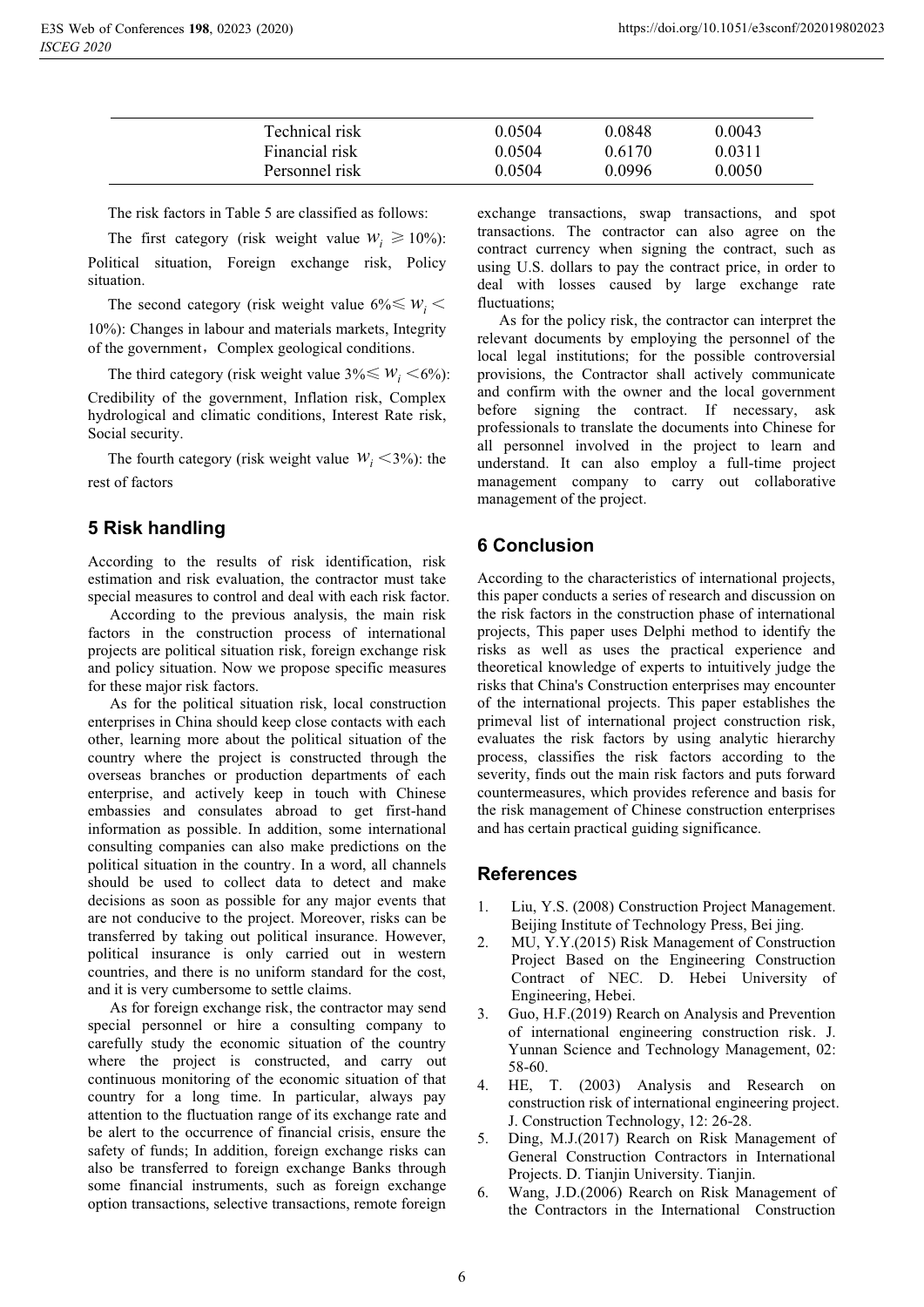| Technical risk<br>0.0848<br>0.0504 | 0.0043 |
|------------------------------------|--------|
| Financial risk<br>0.0504<br>0.6170 | 0.0311 |
| Personnel risk<br>0.0996<br>0.0504 | 0.0050 |

The risk factors in Table 5 are classified as follows:

The first category (risk weight value  $W_i \ge 10\%$ ): Political situation, Foreign exchange risk, Policy situation.

The second category (risk weight value  $6\% \leq w_i$ 10%): Changes in labour and materials markets, Integrity of the government, Complex geological conditions.

The third category (risk weight value  $3\% \leq W_i \leq 6\%$ ):

Credibility of the government, Inflation risk, Complex hydrological and climatic conditions, Interest Rate risk, Social security.

The fourth category (risk weight value  $W_i \leq 3\%$ ): the rest of factors

## **5 Risk handling**

According to the results of risk identification, risk estimation and risk evaluation, the contractor must take special measures to control and deal with each risk factor.

According to the previous analysis, the main risk factors in the construction process of international projects are political situation risk, foreign exchange risk and policy situation. Now we propose specific measures for these major risk factors.

As for the political situation risk, local construction enterprises in China should keep close contacts with each other, learning more about the political situation of the country where the project is constructed through the overseas branches or production departments of each enterprise, and actively keep in touch with Chinese embassies and consulates abroad to get first-hand information as possible. In addition, some international consulting companies can also make predictions on the political situation in the country. In a word, all channels should be used to collect data to detect and make decisions as soon as possible for any major events that are not conducive to the project. Moreover, risks can be transferred by taking out political insurance. However, political insurance is only carried out in western countries, and there is no uniform standard for the cost, and it is very cumbersome to settle claims.

As for foreign exchange risk, the contractor may send special personnel or hire a consulting company to carefully study the economic situation of the country where the project is constructed, and carry out continuous monitoring of the economic situation of that country for a long time. In particular, always pay attention to the fluctuation range of its exchange rate and be alert to the occurrence of financial crisis, ensure the safety of funds; In addition, foreign exchange risks can also be transferred to foreign exchange Banks through some financial instruments, such as foreign exchange option transactions, selective transactions, remote foreign

exchange transactions, swap transactions, and spot transactions. The contractor can also agree on the contract currency when signing the contract, such as using U.S. dollars to pay the contract price, in order to deal with losses caused by large exchange rate fluctuations;

As for the policy risk, the contractor can interpret the relevant documents by employing the personnel of the local legal institutions; for the possible controversial provisions, the Contractor shall actively communicate and confirm with the owner and the local government before signing the contract. If necessary, ask professionals to translate the documents into Chinese for all personnel involved in the project to learn and understand. It can also employ a full-time project management company to carry out collaborative management of the project.

## **6 Conclusion**

According to the characteristics of international projects, this paper conducts a series of research and discussion on the risk factors in the construction phase of international projects, This paper uses Delphi method to identify the risks as well as uses the practical experience and theoretical knowledge of experts to intuitively judge the risks that China's Construction enterprises may encounter of the international projects. This paper establishes the primeval list of international project construction risk, evaluates the risk factors by using analytic hierarchy process, classifies the risk factors according to the severity, finds out the main risk factors and puts forward countermeasures, which provides reference and basis for the risk management of Chinese construction enterprises and has certain practical guiding significance.

## **References**

- 1. Liu, Y.S. (2008) Construction Project Management. Beijing Institute of Technology Press, Bei jing.
- 2. MU, Y.Y.(2015) Risk Management of Construction Project Based on the Engineering Construction Contract of NEC. D. Hebei University of Engineering, Hebei.
- Guo, H.F.(2019) Rearch on Analysis and Prevention of international engineering construction risk. J. Yunnan Science and Technology Management, 02: 58-60.
- 4. HE, T. (2003) Analysis and Research on construction risk of international engineering project. J. Construction Technology, 12: 26-28.
- 5. Ding, M.J.(2017) Rearch on Risk Management of General Construction Contractors in International Projects. D. Tianjin University. Tianjin.
- 6. Wang, J.D.(2006) Rearch on Risk Management of the Contractors in the International Construction